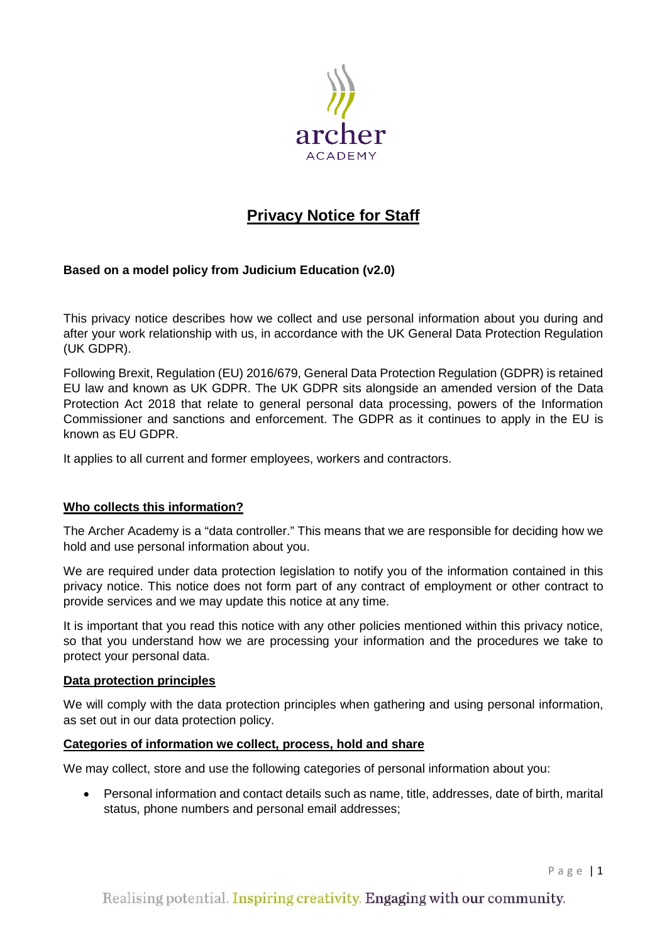

# **Privacy Notice for Staff**

# **Based on a model policy from Judicium Education (v2.0)**

This privacy notice describes how we collect and use personal information about you during and after your work relationship with us, in accordance with the UK General Data Protection Regulation (UK GDPR).

Following Brexit, Regulation (EU) 2016/679, General Data Protection Regulation (GDPR) is retained EU law and known as UK GDPR. The UK GDPR sits alongside an amended version of the Data Protection Act 2018 that relate to general personal data processing, powers of the Information Commissioner and sanctions and enforcement. The GDPR as it continues to apply in the EU is known as EU GDPR.

It applies to all current and former employees, workers and contractors.

## **Who collects this information?**

The Archer Academy is a "data controller." This means that we are responsible for deciding how we hold and use personal information about you.

We are required under data protection legislation to notify you of the information contained in this privacy notice. This notice does not form part of any contract of employment or other contract to provide services and we may update this notice at any time.

It is important that you read this notice with any other policies mentioned within this privacy notice, so that you understand how we are processing your information and the procedures we take to protect your personal data.

## **Data protection principles**

We will comply with the data protection principles when gathering and using personal information, as set out in our data protection policy.

## **Categories of information we collect, process, hold and share**

We may collect, store and use the following categories of personal information about you:

• Personal information and contact details such as name, title, addresses, date of birth, marital status, phone numbers and personal email addresses;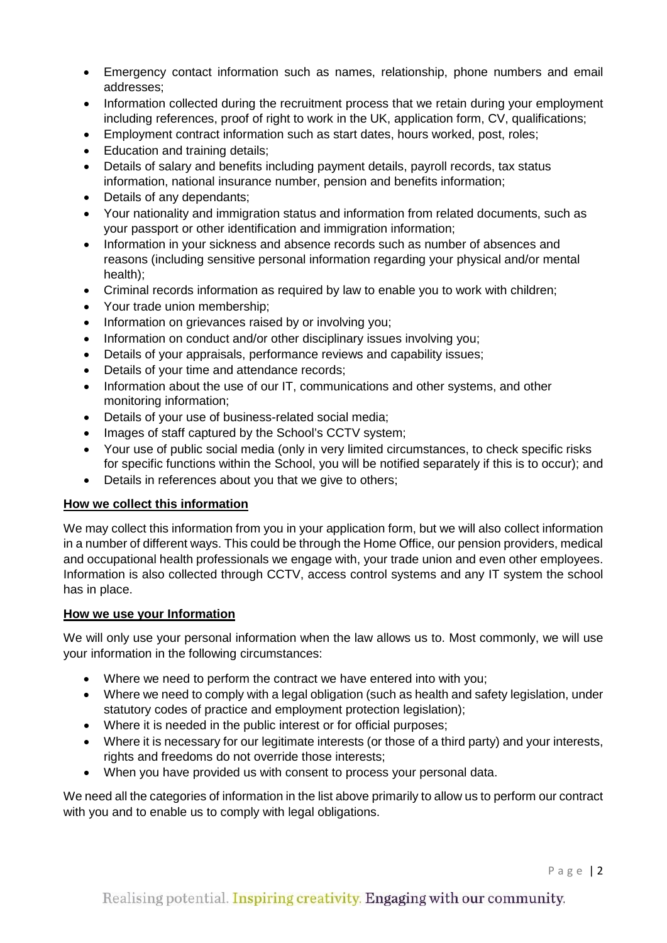- Emergency contact information such as names, relationship, phone numbers and email addresses;
- Information collected during the recruitment process that we retain during your employment including references, proof of right to work in the UK, application form, CV, qualifications;
- Employment contract information such as start dates, hours worked, post, roles;
- Education and training details;
- Details of salary and benefits including payment details, payroll records, tax status information, national insurance number, pension and benefits information;
- Details of any dependants;
- Your nationality and immigration status and information from related documents, such as your passport or other identification and immigration information;
- Information in your sickness and absence records such as number of absences and reasons (including sensitive personal information regarding your physical and/or mental health);
- Criminal records information as required by law to enable you to work with children;
- Your trade union membership;
- Information on grievances raised by or involving you;
- Information on conduct and/or other disciplinary issues involving you;
- Details of your appraisals, performance reviews and capability issues;
- Details of your time and attendance records;
- Information about the use of our IT, communications and other systems, and other monitoring information;
- Details of your use of business-related social media;
- Images of staff captured by the School's CCTV system;
- Your use of public social media (only in very limited circumstances, to check specific risks for specific functions within the School, you will be notified separately if this is to occur); and
- Details in references about you that we give to others;

## **How we collect this information**

We may collect this information from you in your application form, but we will also collect information in a number of different ways. This could be through the Home Office, our pension providers, medical and occupational health professionals we engage with, your trade union and even other employees. Information is also collected through CCTV, access control systems and any IT system the school has in place.

## **How we use your Information**

We will only use your personal information when the law allows us to. Most commonly, we will use your information in the following circumstances:

- Where we need to perform the contract we have entered into with you;
- Where we need to comply with a legal obligation (such as health and safety legislation, under statutory codes of practice and employment protection legislation);
- Where it is needed in the public interest or for official purposes;
- Where it is necessary for our legitimate interests (or those of a third party) and your interests, rights and freedoms do not override those interests;
- When you have provided us with consent to process your personal data.

We need all the categories of information in the list above primarily to allow us to perform our contract with you and to enable us to comply with legal obligations.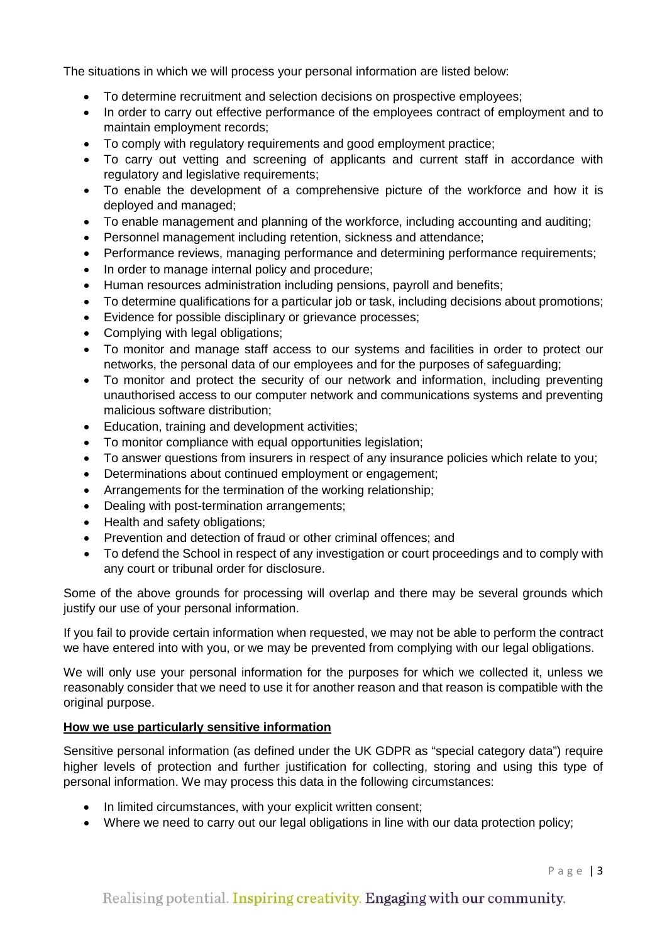The situations in which we will process your personal information are listed below:

- To determine recruitment and selection decisions on prospective employees;
- In order to carry out effective performance of the employees contract of employment and to maintain employment records;
- To comply with regulatory requirements and good employment practice;
- To carry out vetting and screening of applicants and current staff in accordance with regulatory and legislative requirements;
- To enable the development of a comprehensive picture of the workforce and how it is deployed and managed;
- To enable management and planning of the workforce, including accounting and auditing;
- Personnel management including retention, sickness and attendance;
- Performance reviews, managing performance and determining performance requirements;
- In order to manage internal policy and procedure;
- Human resources administration including pensions, payroll and benefits;
- To determine qualifications for a particular job or task, including decisions about promotions;
- Evidence for possible disciplinary or grievance processes;
- Complying with legal obligations;
- To monitor and manage staff access to our systems and facilities in order to protect our networks, the personal data of our employees and for the purposes of safeguarding;
- To monitor and protect the security of our network and information, including preventing unauthorised access to our computer network and communications systems and preventing malicious software distribution;
- Education, training and development activities;
- To monitor compliance with equal opportunities legislation;
- To answer questions from insurers in respect of any insurance policies which relate to you;
- Determinations about continued employment or engagement;
- Arrangements for the termination of the working relationship;
- Dealing with post-termination arrangements;
- Health and safety obligations:
- Prevention and detection of fraud or other criminal offences; and
- To defend the School in respect of any investigation or court proceedings and to comply with any court or tribunal order for disclosure.

Some of the above grounds for processing will overlap and there may be several grounds which justify our use of your personal information.

If you fail to provide certain information when requested, we may not be able to perform the contract we have entered into with you, or we may be prevented from complying with our legal obligations.

We will only use your personal information for the purposes for which we collected it, unless we reasonably consider that we need to use it for another reason and that reason is compatible with the original purpose.

## **How we use particularly sensitive information**

Sensitive personal information (as defined under the UK GDPR as "special category data") require higher levels of protection and further justification for collecting, storing and using this type of personal information. We may process this data in the following circumstances:

- In limited circumstances, with your explicit written consent;
- Where we need to carry out our legal obligations in line with our data protection policy;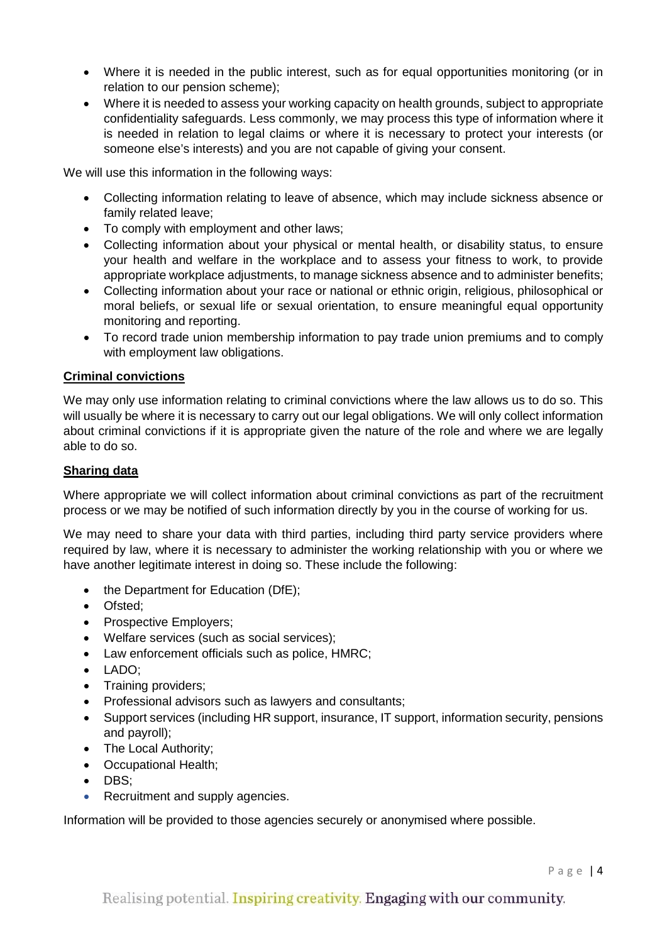- Where it is needed in the public interest, such as for equal opportunities monitoring (or in relation to our pension scheme);
- Where it is needed to assess your working capacity on health grounds, subject to appropriate confidentiality safeguards. Less commonly, we may process this type of information where it is needed in relation to legal claims or where it is necessary to protect your interests (or someone else's interests) and you are not capable of giving your consent.

We will use this information in the following ways:

- Collecting information relating to leave of absence, which may include sickness absence or family related leave;
- To comply with employment and other laws;
- Collecting information about your physical or mental health, or disability status, to ensure your health and welfare in the workplace and to assess your fitness to work, to provide appropriate workplace adjustments, to manage sickness absence and to administer benefits;
- Collecting information about your race or national or ethnic origin, religious, philosophical or moral beliefs, or sexual life or sexual orientation, to ensure meaningful equal opportunity monitoring and reporting.
- To record trade union membership information to pay trade union premiums and to comply with employment law obligations.

# **Criminal convictions**

We may only use information relating to criminal convictions where the law allows us to do so. This will usually be where it is necessary to carry out our legal obligations. We will only collect information about criminal convictions if it is appropriate given the nature of the role and where we are legally able to do so.

## **Sharing data**

Where appropriate we will collect information about criminal convictions as part of the recruitment process or we may be notified of such information directly by you in the course of working for us.

We may need to share your data with third parties, including third party service providers where required by law, where it is necessary to administer the working relationship with you or where we have another legitimate interest in doing so. These include the following:

- the Department for Education (DfE);
- Ofsted;
- Prospective Employers;
- Welfare services (such as social services);
- Law enforcement officials such as police, HMRC;
- LADO;
- Training providers;
- Professional advisors such as lawyers and consultants;
- Support services (including HR support, insurance, IT support, information security, pensions and payroll);
- The Local Authority;
- Occupational Health;
- DBS;
- Recruitment and supply agencies.

Information will be provided to those agencies securely or anonymised where possible.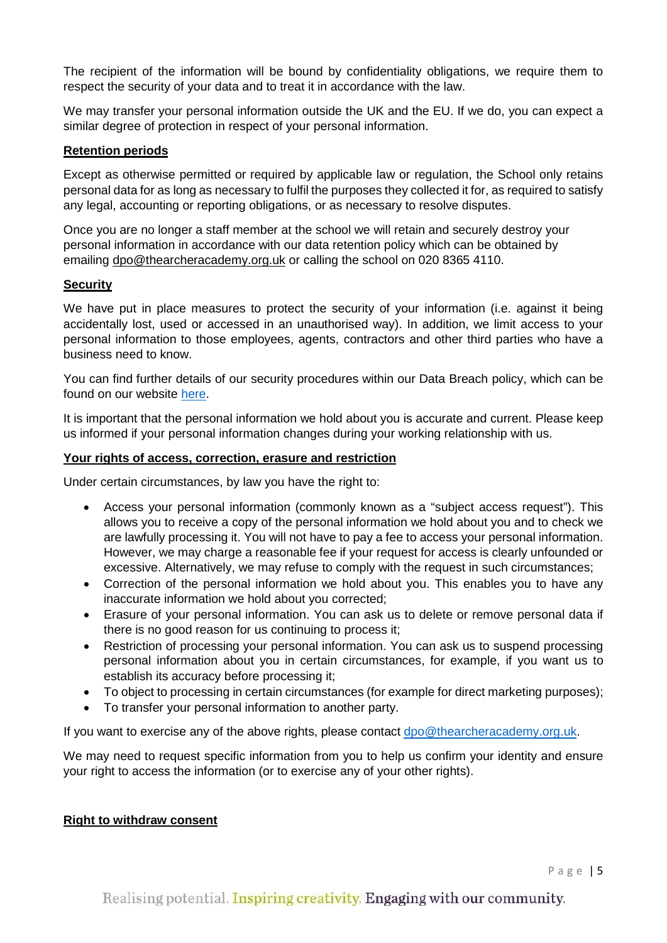The recipient of the information will be bound by confidentiality obligations, we require them to respect the security of your data and to treat it in accordance with the law.

We may transfer your personal information outside the UK and the EU. If we do, you can expect a similar degree of protection in respect of your personal information.

## **Retention periods**

Except as otherwise permitted or required by applicable law or regulation, the School only retains personal data for as long as necessary to fulfil the purposes they collected it for, as required to satisfy any legal, accounting or reporting obligations, or as necessary to resolve disputes.

Once you are no longer a staff member at the school we will retain and securely destroy your personal information in accordance with our data retention policy which can be obtained by emailing [dpo@thearcheracademy.org.uk](mailto:dpo@thearcheracademy.org.uk) or calling the school on 020 8365 4110.

## **Security**

We have put in place measures to protect the security of your information (i.e. against it being accidentally lost, used or accessed in an unauthorised way). In addition, we limit access to your personal information to those employees, agents, contractors and other third parties who have a business need to know.

You can find further details of our security procedures within our Data Breach policy, which can be found on our website [here.](https://thearcheracademy.org.uk/data-protection/)

It is important that the personal information we hold about you is accurate and current. Please keep us informed if your personal information changes during your working relationship with us.

## **Your rights of access, correction, erasure and restriction**

Under certain circumstances, by law you have the right to:

- Access your personal information (commonly known as a "subject access request"). This allows you to receive a copy of the personal information we hold about you and to check we are lawfully processing it. You will not have to pay a fee to access your personal information. However, we may charge a reasonable fee if your request for access is clearly unfounded or excessive. Alternatively, we may refuse to comply with the request in such circumstances;
- Correction of the personal information we hold about you. This enables you to have any inaccurate information we hold about you corrected;
- Erasure of your personal information. You can ask us to delete or remove personal data if there is no good reason for us continuing to process it;
- Restriction of processing your personal information. You can ask us to suspend processing personal information about you in certain circumstances, for example, if you want us to establish its accuracy before processing it;
- To object to processing in certain circumstances (for example for direct marketing purposes);
- To transfer your personal information to another party.

If you want to exercise any of the above rights, please contact [dpo@thearcheracademy.org.uk.](mailto:dpo@thearcheracademy.org.uk)

We may need to request specific information from you to help us confirm your identity and ensure your right to access the information (or to exercise any of your other rights).

## **Right to withdraw consent**